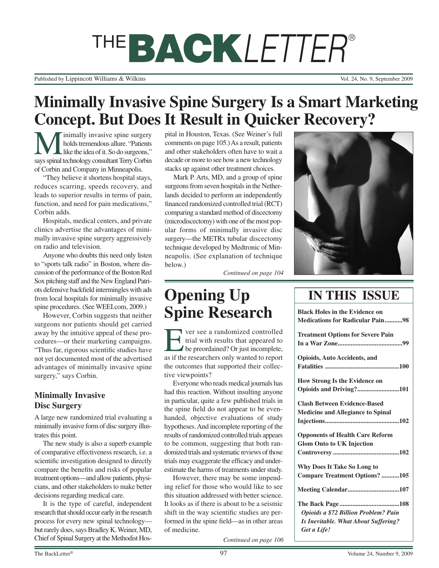# THE**BACK**LETTER®

Published by Lippincott Williams & Wilkins Vol. 24, No. 9, September 2009

### **Minimally Invasive Spine Surgery Is a Smart Marketing Concept. But Does It Result in Quicker Recovery?**

inimally invasive spine surgery holds tremendous allure. "Patients like the idea of it. So do surgeons," says spinal technology consultant Terry Corbin of Corbin and Company in Minneapolis.

"They believe it shortens hospital stays, reduces scarring, speeds recovery, and leads to superior results in terms of pain, function, and need for pain medications," Corbin adds.

Hospitals, medical centers, and private clinics advertise the advantages of minimally invasive spine surgery aggressively on radio and television.

Anyone who doubts this need only listen to "sports talk radio" in Boston, where discussion of the performance of the Boston Red Sox pitching staff and the New England Patriots defensive backfield intermingles with ads from local hospitals for minimally invasive spine procedures. (See WEEI.com, 2009.)

However, Corbin suggests that neither surgeons nor patients should get carried away by the intuitive appeal of these procedures—or their marketing campaigns. "Thus far, rigorous scientific studies have not yet documented most of the advertised advantages of minimally invasive spine surgery," says Corbin.

#### **Minimally Invasive Disc Surgery**

A large new randomized trial evaluating a minimally invasive form of disc surgery illustrates this point.

The new study is also a superb example of comparative effectiveness research, i.e. a scientific investigation designed to directly compare the benefits and risks of popular treatment options—and allow patients, physicians, and other stakeholders to make better decisions regarding medical care.

It is the type of careful, independent research that should occur early in the research process for every new spinal technology but rarely does, says Bradley K. Weiner, MD, Chief of Spinal Surgery at the Methodist Hospital in Houston, Texas. (See Weiner's full comments on page 105.) As a result, patients and other stakeholders often have to wait a decade or more to see how a new technology stacks up against other treatment choices.

Mark P. Arts, MD, and a group of spine surgeons from seven hospitals in the Netherlands decided to perform an independently financed randomized controlled trial (RCT) comparing a standard method of discectomy (microdiscectomy) with one of the most popular forms of minimally invasive disc surgery—the METRx tubular discectomy technique developed by Medtronic of Minneapolis. (See explanation of technique below.)



*Continued on page 104*

### **Opening Up Spine Research**

ver see a randomized controlled trial with results that appeared to be preordained? Or just incomplete, as if the researchers only wanted to report the outcomes that supported their collective viewpoints?

Everyone who reads medical journals has had this reaction. Without insulting anyone in particular, quite a few published trials in the spine field do not appear to be evenhanded, objective evaluations of study hypotheses. And incomplete reporting of the results of randomized controlled trials appears to be common, suggesting that both randomized trials and systematic reviews of those trials may exaggerate the efficacy and underestimate the harms of treatments under study.

However, there may be some impending relief for those who would like to see this situation addressed with better science. It looks as if there is about to be a seismic shift in the way scientific studies are performed in the spine field—as in other areas of medicine.

*Continued on page 106*

### **IN THIS ISSUE**

| <b>Black Holes in the Evidence on</b><br><b>Medications for Radicular Pain98</b>                          |
|-----------------------------------------------------------------------------------------------------------|
| <b>Treatment Options for Severe Pain</b>                                                                  |
| <b>Opioids, Auto Accidents, and</b>                                                                       |
| How Strong Is the Evidence on                                                                             |
| <b>Clash Between Evidence-Based</b><br><b>Medicine and Allegiance to Spinal</b>                           |
| <b>Opponents of Health Care Reform</b><br><b>Glom Onto to UK Injection</b>                                |
| <b>Why Does It Take So Long to</b><br>Compare Treatment Options? 105                                      |
| Meeting Calendar107                                                                                       |
| <b>Opioids a \$72 Billion Problem? Pain</b><br><b>Is Inevitable. What About Suffering?</b><br>Get a Life! |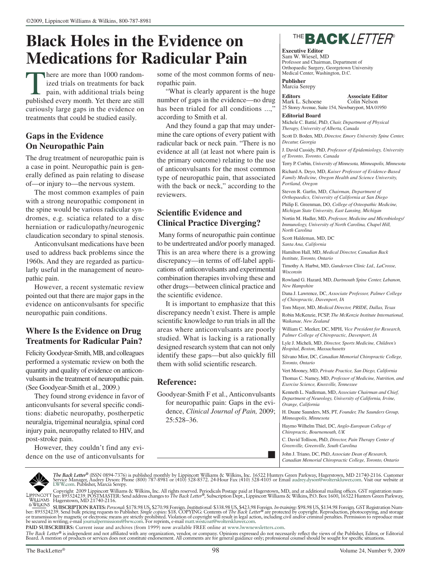# **Black Holes in the Evidence on Medications for Radicular Pain**

There are more than 1000 randomized trials on treatments for back pain, with additional trials being published every month. Yet there are still curiously large gaps in the evidence on treatments that could be studied easily.

#### **Gaps in the Evidence On Neuropathic Pain**

The drug treatment of neuropathic pain is a case in point. Neuropathic pain is generally defined as pain relating to disease of—or injury to—the nervous system.

The most common examples of pain with a strong neuropathic component in the spine would be various radicular syndromes, e.g. sciatica related to a disc herniation or radiculopathy/neurogenic claudication secondary to spinal stenosis.

Anticonvulsant medications have been used to address back problems since the 1960s. And they are regarded as particularly useful in the management of neuropathic pain.

However, a recent systematic review pointed out that there are major gaps in the evidence on anticonvulsants for specific neuropathic pain conditions.

#### **Where Is the Evidence on Drug Treatments for Radicular Pain?**

Felicity Goodyear-Smith, MB, and colleagues performed a systematic review on both the quantity and quality of evidence on anticonvulsants in the treatment of neuropathic pain. (See Goodyear-Smith et al., 2009.)

They found strong evidence in favor of anticonvulsants for several specific conditions: diabetic neuropathy, postherpetic neuralgia, trigeminal neuralgia, spinal cord injury pain, neuropathy related to HIV, and post-stroke pain.

However, they couldn't find any evidence on the use of anticonvulsants for some of the most common forms of neuropathic pain.

"What is clearly apparent is the huge number of gaps in the evidence—no drug has been trialed for all conditions ...," according to Smith et al.

And they found a gap that may undermine the care options of every patient with radicular back or neck pain. "There is no evidence at all (at least not where pain is the primary outcome) relating to the use of anticonvulsants for the most common type of neuropathic pain, that associated with the back or neck," according to the reviewers.

#### **Scientific Evidence and Clinical Practice Diverging?**

Many forms of neuropathic pain continue to be undertreated and/or poorly managed. This is an area where there is a growing discrepancy—in terms of off-label applications of anticonvulsants and experimental combination therapies involving these and other drugs—between clinical practice and the scientific evidence.

It is important to emphasize that this discrepancy needn't exist. There is ample scientific knowledge to run trials in all the areas where anticonvulsants are poorly studied. What is lacking is a rationally designed research system that can not only identify these gaps—but also quickly fill them with solid scientific research.

#### **Reference:**

Goodyear-Smith F et al., Anticonvulsants for neuropathic pain: Gaps in the evidence, *Clinical Journal of Pain,* 2009; 25:528–36.



**Executive Editor** Sam W. Wiesel, MD Professor and Chairman, Department of Orthopaedic Surgery, Georgetown University Medical Center, Washington, D.C.

**Publisher** Marcia Serepy

**Editors Associate Editor**<br>
Mark L. Schoene **Colin Nelson** Mark L. Schoene 25 Storey Avenue, Suite 154, Newburyport, MA 01950

#### **Editorial Board**

Michele C. Battié, PhD, *Chair, Department of Physical Therapy, University of Alberta, Canada*

Scott D. Boden, MD, *Director, Emory University Spine Center, Decatur, Georgia*

J. David Cassidy, PhD, *Professor of Epidemiology, University of Toronto, Toronto, Canada*

Terry P. Corbin, *University of Minnesota, Minneapolis, Minnesota* Richard A. Deyo, MD, *Kaiser Professor of Evidence-Based Family Medicine, Oregon Health and Science University, Portland, Oregon*

Steven R. Garfin, MD, *Chairman, Department of Orthopaedics, University of California at San Diego* Philip E. Greenman, DO, *College of Osteopathic Medicine, Michigan State University, East Lansing, Michigan*

Nortin M. Hadler, MD, *Professor, Medicine and Microbiology/ Immunology, University of North Carolina, Chapel Hill, North Carolina*

Scott Haldeman, MD, DC *Santa Ana, California*

Hamilton Hall, MD, *Medical Director, Canadian Back Institute, Toronto, Ontario*

Timothy A. Harbst, MD, *Gundersen Clinic Ltd., LaCrosse, Wisconsin*

Rowland G. Hazard, MD, *Dartmouth Spine Center, Lebanon, New Hampshire*

Dana J. Lawrence, DC, *Associate Professor, Palmer College of Chiropractic, Davenport, IA*

Tom Mayer, MD, *Medical Director, PRIDE, Dallas, Texas* Robin McKenzie, FCSP, *The McKenzie Institute International, Waikanae, New Zealand*

William C. Meeker, DC, MPH, *Vice President for Research, Palmer College of Chiropractic, Davenport, IA*

Lyle J. Micheli, MD, *Director, Sports Medicine, Children's Hospital, Boston, Massachusetts*

Silvano Mior, DC, *Canadian Memorial Chiropractic College, Toronto, Ontario*

Vert Mooney, MD, *Private Practice, San Diego, California*

Thomas C. Namey, MD, *Professor of Medicine, Nutrition, and Exercise Science, Knoxville, Tennessee*

Kenneth L. Nudleman, MD, *Associate Chairman and Chief, Department of Neurology, University of California, Irvine, Orange, California*

H. Duane Saunders, MS, PT, *Founder, The Saunders Group, Minneapolis, Minnesota*

Haymo Wilhelm Thiel, DC, *Anglo-European College of Chiropractic, Bournemouth, UK*

C. David Tollison, PhD, *Director, Pain Therapy Center of Greenville, Greenville, South Carolina*

John J. Triano, DC, PhD, *Associate Dean of Research, Canadian Memorial Chiropractic College, Toronto, Ontario*



T*he Back Letter® (*ISSN 0894-7376) is published monthly by Lippincott Williams & Wilkins, Inc. 16522 Hunters Green Parkway, Hagerstown, MD 21740-2116. Customer<br>Service Manager, Audrey Dyson: Phone (800) 787-8981 or (410)

 $\mathbb{R}^2$ 

Copyright 2009 Lippincott Williams & Wilkins, Inc. All rights reserved. Periodicals Postage paid at Hagerstown, MD, and at additional mailing offices. GST registration num-<br>WILLIAMS Hagerstown, MD 21740-2116.<br>& WILKINS are

& WILKINS **SUBSCRIPTION RATES:** Personal: \$178.98 US, \$270.98 Foreign. Institutional: \$338.98 US, \$423.98 Foreign. In-training: \$98.98 US, \$134.98 Foreign. GST Registration Number: 895524239. Send bulk pricing requests to

**PAID SUBSCRIBERS:** Current issue and archives (from 1999) now available FREE online at www.lwwnewsletters.com.

The Back Letter® is independent and not affiliated with any organization, vendor, or company. Opinions expressed do not necessarily reflect the views of the Publisher, Editor, or Editorial Board. A mention of products or s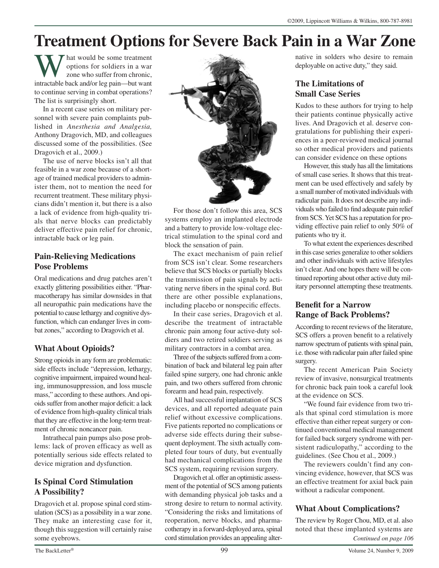### **Treatment Options for Severe Back Pain in a War Zone**

hat would be some treatment options for soldiers in a war zone who suffer from chronic, intractable back and/or leg pain—but want to continue serving in combat operations? The list is surprisingly short.

In a recent case series on military personnel with severe pain complaints published in *Anesthesia and Analgesia,* Anthony Dragovich, MD, and colleagues discussed some of the possibilities. (See Dragovich et al., 2009.)

The use of nerve blocks isn't all that feasible in a war zone because of a shortage of trained medical providers to administer them, not to mention the need for recurrent treatment. These military physicians didn't mention it, but there is a also a lack of evidence from high-quality trials that nerve blocks can predictably deliver effective pain relief for chronic, intractable back or leg pain.

#### **Pain-Relieving Medications Pose Problems**

Oral medications and drug patches aren't exactly glittering possibilities either. "Pharmacotherapy has similar downsides in that all neuropathic pain medications have the potential to cause lethargy and cognitive dysfunction, which can endanger lives in combat zones," according to Dragovich et al.

#### **What About Opioids?**

Strong opioids in any form are problematic: side effects include "depression, lethargy, cognitive impairment, impaired wound healing, immunosuppression, and loss muscle mass," according to these authors. And opioids suffer from another major deficit: a lack of evidence from high-quality clinical trials that they are effective in the long-term treatment of chronic noncancer pain.

Intrathecal pain pumps also pose problems: lack of proven efficacy as well as potentially serious side effects related to device migration and dysfunction.

#### **Is Spinal Cord Stimulation A Possibility?**

Dragovich et al. propose spinal cord stimulation (SCS) as a possibility in a war zone. They make an interesting case for it, though this suggestion will certainly raise some eyebrows.



For those don't follow this area, SCS systems employ an implanted electrode and a battery to provide low-voltage electrical stimulation to the spinal cord and block the sensation of pain.

The exact mechanism of pain relief from SCS isn't clear. Some researchers believe that SCS blocks or partially blocks the transmission of pain signals by activating nerve fibers in the spinal cord. But there are other possible explanations, including placebo or nonspecific effects.

In their case series, Dragovich et al. describe the treatment of intractable chronic pain among four active-duty soldiers and two retired soldiers serving as military contractors in a combat area.

Three of the subjects suffered from a combination of back and bilateral leg pain after failed spine surgery, one had chronic ankle pain, and two others suffered from chronic forearm and head pain, respectively.

All had successful implantation of SCS devices, and all reported adequate pain relief without excessive complications. Five patients reported no complications or adverse side effects during their subsequent deployment. The sixth actually completed four tours of duty, but eventually had mechanical complications from the SCS system, requiring revision surgery.

Dragovich et al. offer an optimistic assessment of the potential of SCS among patients with demanding physical job tasks and a strong desire to return to normal activity. "Considering the risks and limitations of reoperation, nerve blocks, and pharmacotherapy in a forward-deployed area, spinal cord stimulation provides an appealing alternative in solders who desire to remain deployable on active duty," they said.

#### **The Limitations of Small Case Series**

Kudos to these authors for trying to help their patients continue physically active lives. And Dragovich et al. deserve congratulations for publishing their experiences in a peer-reviewed medical journal so other medical providers and patients can consider evidence on these options

However, this study has all the limitations of small case series. It shows that this treatment can be used effectively and safely by a small number of motivated individuals with radicular pain. It does not describe any individuals who failed to find adequate pain relief from SCS. Yet SCS has a reputation for providing effective pain relief to only 50% of patients who try it.

To what extent the experiences described in this case series generalize to other soldiers and other individuals with active lifestyles isn't clear. And one hopes there will be continued reporting about other active duty military personnel attempting these treatments.

#### **Benefit for a Narrow Range of Back Problems?**

According to recent reviews of the literature, SCS offers a proven benefit to a relatively narrow spectrum of patients with spinal pain, i.e. those with radicular pain after failed spine surgery.

The recent American Pain Society review of invasive, nonsurgical treatments for chronic back pain took a careful look at the evidence on SCS.

"We found fair evidence from two trials that spinal cord stimulation is more effective than either repeat surgery or continued conventional medical management for failed back surgery syndrome with persistent radiculopathy," according to the guidelines. (See Chou et al., 2009.)

The reviewers couldn't find any convincing evidence, however, that SCS was an effective treatment for axial back pain without a radicular component.

#### **What About Complications?**

The review by Roger Chou, MD, et al. also noted that these implanted systems are *Continued on page 106*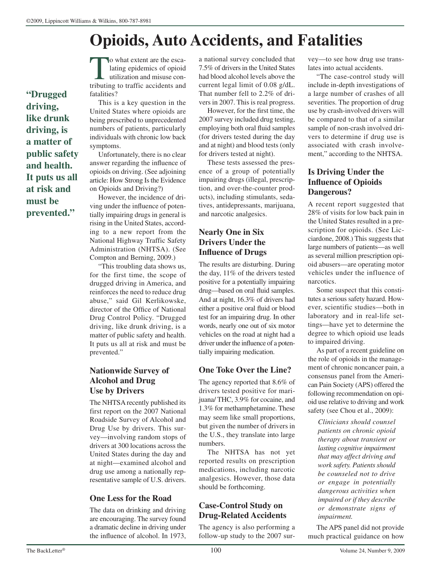# **Opioids, Auto Accidents, and Fatalities**

to what extent are the escalating epidemics of opioid utilization and misuse contributing to traffic accidents and fatalities?

This is a key question in the United States where opioids are being prescribed to unprecedented numbers of patients, particularly individuals with chronic low back symptoms.

Unfortunately, there is no clear answer regarding the influence of opioids on driving. (See adjoining article: How Strong Is the Evidence on Opioids and Driving?)

However, the incidence of driving under the influence of potentially impairing drugs in general is rising in the United States, according to a new report from the National Highway Traffic Safety Administration (NHTSA). (See Compton and Berning, 2009.)

"This troubling data shows us, for the first time, the scope of drugged driving in America, and reinforces the need to reduce drug abuse," said Gil Kerlikowske, director of the Office of National Drug Control Policy. "Drugged driving, like drunk driving, is a matter of public safety and health. It puts us all at risk and must be prevented."

#### **Nationwide Survey of Alcohol and Drug Use by Drivers**

The NHTSA recently published its first report on the 2007 National Roadside Survey of Alcohol and Drug Use by drivers. This survey—involving random stops of drivers at 300 locations across the United States during the day and at night—examined alcohol and drug use among a nationally representative sample of U.S. drivers.

#### **One Less for the Road**

The data on drinking and driving are encouraging. The survey found a dramatic decline in driving under the influence of alcohol. In 1973, a national survey concluded that 7.5% of drivers in the United States had blood alcohol levels above the current legal limit of 0.08 g/dL. That number fell to 2.2% of drivers in 2007. This is real progress.

However, for the first time, the 2007 survey included drug testing, employing both oral fluid samples (for drivers tested during the day and at night) and blood tests (only for drivers tested at night).

These tests assessed the presence of a group of potentially impairing drugs (illegal, prescription, and over-the-counter products), including stimulants, sedatives, antidepressants, marijuana, and narcotic analgesics.

#### **Nearly One in Six Drivers Under the Influence of Drugs**

The results are disturbing. During the day, 11% of the drivers tested positive for a potentially impairing drug—based on oral fluid samples. And at night, 16.3% of drivers had either a positive oral fluid or blood test for an impairing drug. In other words, nearly one out of six motor vehicles on the road at night had a driver under the influence of a potentially impairing medication.

#### **One Toke Over the Line?**

The agency reported that 8.6% of drivers tested positive for marijuana/ THC, 3.9% for cocaine, and 1.3% for methamphetamine. These may seem like small proportions, but given the number of drivers in the U.S., they translate into large numbers.

The NHTSA has not yet reported results on prescription medications, including narcotic analgesics. However, those data should be forthcoming.

#### **Case-Control Study on Drug-Related Accidents**

The agency is also performing a follow-up study to the 2007 sur-

vey—to see how drug use translates into actual accidents.

"The case-control study will include in-depth investigations of a large number of crashes of all severities. The proportion of drug use by crash-involved drivers will be compared to that of a similar sample of non-crash involved drivers to determine if drug use is associated with crash involvement," according to the NHTSA.

#### **Is Driving Under the Influence of Opioids Dangerous?**

A recent report suggested that 28% of visits for low back pain in the United States resulted in a prescription for opioids. (See Licciardone, 2008.) This suggests that large numbers of patients—as well as several million prescription opioid abusers—are operating motor vehicles under the influence of narcotics.

Some suspect that this constitutes a serious safety hazard. However, scientific studies—both in laboratory and in real-life settings—have yet to determine the degree to which opioid use leads to impaired driving.

As part of a recent guideline on the role of opioids in the management of chronic noncancer pain, a consensus panel from the American Pain Society (APS) offered the following recommendation on opioid use relative to driving and work safety (see Chou et al., 2009):

*Clinicians should counsel patients on chronic opioid therapy about transient or lasting cognitive impairment that may affect driving and work safety. Patients should be counseled not to drive or engage in potentially dangerous activities when impaired or if they describe or demonstrate signs of impairment.*

The APS panel did not provide much practical guidance on how

**driving, like drunk driving, is a matter of public safety and health. It puts us all at risk and must be prevented."**

**"Drugged**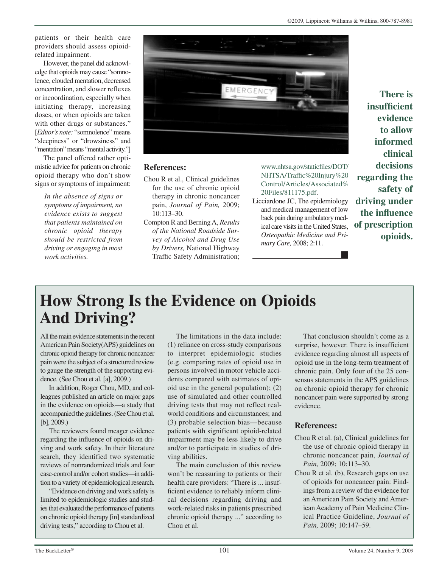patients or their health care providers should assess opioidrelated impairment.

However, the panel did acknowledge that opioids may cause "somnolence, clouded mentation, decreased concentration, and slower reflexes or incoordination, especially when initiating therapy, increasing doses, or when opioids are taken with other drugs or substances." [*Editor's note:* "somnolence" means "sleepiness" or "drowsiness" and "mentation" means "mental activity."]

The panel offered rather optimistic advice for patients on chronic opioid therapy who don't show signs or symptoms of impairment:

*In the absence of signs or symptoms of impairment, no evidence exists to suggest that patients maintained on chronic opioid therapy should be restricted from driving or engaging in most work activities.*



#### **References:**

- Chou R et al., Clinical guidelines for the use of chronic opioid therapy in chronic noncancer pain, *Journal of Pain,* 2009; 10:113–30.
- Compton R and Berning A, *Results of the National Roadside Survey of Alcohol and Drug Use by Drivers,* National Highway Traffic Safety Administration;

www.nhtsa.gov/staticfiles/DOT/ NHTSA/Traffic%20Injury%20 Control/Articles/Associated% 20Files/811175.pdf.

Licciardone JC, The epidemiology and medical management of low back pain during ambulatory medical care visits in the United States, *Osteopathic Medicine and Primary Care,* 2008; 2:11.

**There is insufficient evidence to allow informed clinical decisions regarding the safety of driving under the influence of prescription opioids.**

### **How Strong Is the Evidence on Opioids And Driving?**

All the main evidence statements in the recent American Pain Society(APS) guidelines on chronic opioid therapy for chronic noncancer pain were the subject of a structured review to gauge the strength of the supporting evidence. (See Chou et al. [a], 2009.)

In addition, Roger Chou, MD, and colleagues published an article on major gaps in the evidence on opioids—a study that accompanied the guidelines. (See Chou et al. [b], 2009.)

The reviewers found meager evidence regarding the influence of opioids on driving and work safety. In their literature search, they identified two systematic reviews of nonrandomized trials and four case-control and/or cohort studies—in addition to a variety of epidemiological research.

"Evidence on driving and work safety is limited to epidemiologic studies and studies that evaluated the performance of patients on chronic opioid therapy [in] standardized driving tests," according to Chou et al.

The limitations in the data include: (1) reliance on cross-study comparisons to interpret epidemiologic studies (e.g. comparing rates of opioid use in persons involved in motor vehicle accidents compared with estimates of opioid use in the general population); (2) use of simulated and other controlled driving tests that may not reflect realworld conditions and circumstances; and (3) probable selection bias—because patients with significant opioid-related impairment may be less likely to drive and/or to participate in studies of driving abilities.

The main conclusion of this review won't be reassuring to patients or their health care providers: "There is ... insufficient evidence to reliably inform clinical decisions regarding driving and work-related risks in patients prescribed chronic opioid therapy ..." according to Chou et al.

That conclusion shouldn't come as a surprise, however. There is insufficient evidence regarding almost all aspects of opioid use in the long-term treatment of chronic pain. Only four of the 25 consensus statements in the APS guidelines on chronic opioid therapy for chronic noncancer pain were supported by strong evidence.

 $\mathbb{R}^2$ 

#### **References:**

- Chou R et al. (a), Clinical guidelines for the use of chronic opioid therapy in chronic noncancer pain, *Journal of Pain,* 2009; 10:113–30.
- Chou R et al. (b), Research gaps on use of opioids for noncancer pain: Findings from a review of the evidence for an American Pain Society and American Academy of Pain Medicine Clinical Practice Guideline, *Journal of Pain,* 2009; 10:147–59.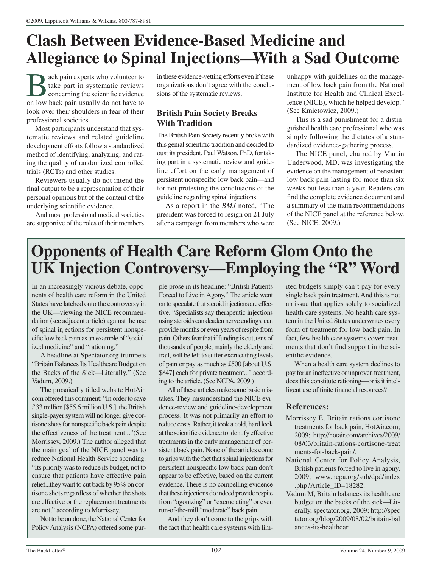## **Clash Between Evidence-Based Medicine and Allegiance to Spinal Injections—With a Sad Outcome**

ack pain experts who volunteer to take part in systematic reviews concerning the scientific evidence on low back pain usually do not have to look over their shoulders in fear of their professional societies.

Most participants understand that systematic reviews and related guideline development efforts follow a standardized method of identifying, analyzing, and rating the quality of randomized controlled trials (RCTs) and other studies.

Reviewers usually do not intend the final output to be a representation of their personal opinions but of the content of the underlying scientific evidence.

And most professional medical societies are supportive of the roles of their members in these evidence-vetting efforts even if these organizations don't agree with the conclusions of the systematic reviews.

#### **British Pain Society Breaks With Tradition**

The British Pain Society recently broke with this genial scientific tradition and decided to oust its president, Paul Watson, PhD, for taking part in a systematic review and guideline effort on the early management of persistent nonspecific low back pain—and for not protesting the conclusions of the guideline regarding spinal injections.

As a report in the *BMJ* noted, "The president was forced to resign on 21 July after a campaign from members who were unhappy with guidelines on the management of low back pain from the National Institute for Health and Clinical Excellence (NICE), which he helped develop." (See Kmietowicz, 2009.)

This is a sad punishment for a distinguished health care professional who was simply following the dictates of a standardized evidence-gathering process.

The NICE panel, chaired by Martin Underwood, MD, was investigating the evidence on the management of persistent low back pain lasting for more than six weeks but less than a year. Readers can find the complete evidence document and a summary of the main recommendations of the NICE panel at the reference below. (See NICE, 2009.)

### **Opponents of Health Care Reform Glom Onto the UK Injection Controversy—Employing the "R" Word**

In an increasingly vicious debate, opponents of health care reform in the United States have latched onto the controversy in the UK—viewing the NICE recommendation (see adjacent article) against the use of spinal injections for persistent nonspecific low back pain as an example of "socialized medicine" and "rationing."

A headline at Spectator.org trumpets "Britain Balances Its Healthcare Budget on the Backs of the Sick—Literally." (See Vadum, 2009.)

The prosaically titled website HotAir. com offered this comment: "In order to save £33 million [\$55.6 million U.S.], the British single-payer system will no longer give cortisone shots for nonspecific back pain despite the effectiveness of the treatment..."(See Morrissey, 2009.) The author alleged that the main goal of the NICE panel was to reduce National Health Service spending. "Its priority was to reduce its budget, not to ensure that patients have effective pain relief...they want to cut back by 95% on cortisone shots regardless of whether the shots are effective or the replacement treatments are not," according to Morrissey.

Not to be outdone, the National Center for Policy Analysis (NCPA) offered some purple prose in its headline: "British Patients Forced to Live in Agony." The article went on to speculate that steroid injections are effective. "Specialists say therapeutic injections using steroids can deaden nerve endings, can provide months or even years of respite from pain. Others fear that if funding is cut, tens of thousands of people, mainly the elderly and frail, will be left to suffer excruciating levels of pain or pay as much as £500 [about U.S. \$847] each for private treatment..." according to the article. (See NCPA, 2009.)

All of these articles make some basic mistakes. They misunderstand the NICE evidence-review and guideline-development process. It was not primarily an effort to reduce costs. Rather, it took a cold, hard look at the scientific evidence to identify effective treatments in the early management of persistent back pain. None of the articles come to grips with the fact that spinal injections for persistent nonspecific low back pain don't appear to be effective, based on the current evidence. There is no compelling evidence that these injections do indeed provide respite from "agonizing" or "excruciating" or even run-of-the-mill "moderate" back pain.

And they don't come to the grips with the fact that health care systems with limited budgets simply can't pay for every single back pain treatment. And this is not an issue that applies solely to socialized health care systems. No health care system in the United States underwrites every form of treatment for low back pain. In fact, few health care systems cover treatments that don't find support in the scientific evidence.

When a health care system declines to pay for an ineffective or unproven treatment, does this constitute rationing—or is it intelligent use of finite financial resources?

#### **References:**

- Morrissey E, Britain rations cortisone treatments for back pain, HotAir.com; 2009; http://hotair.com/archives/2009/ 08/03/britain-rations-cortisone-treat ments-for-back-pain/.
- National Center for Policy Analysis, British patients forced to live in agony, 2009; www.ncpa.org/sub/dpd/index .php?Article\_ID=18282.
- Vadum M, Britain balances its healthcare budget on the backs of the sick—Literally, spectator.org, 2009; http://spec tator.org/blog/2009/08/02/britain-bal ances-its-healthcar.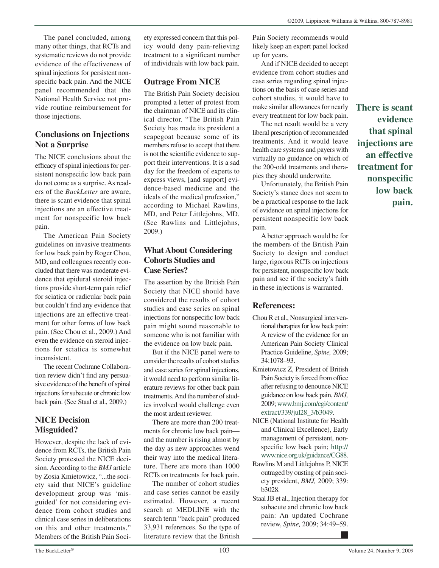The panel concluded, among many other things, that RCTs and systematic reviews do not provide evidence of the effectiveness of spinal injections for persistent nonspecific back pain. And the NICE panel recommended that the National Health Service not provide routine reimbursement for those injections.

#### **Conclusions on Injections Not a Surprise**

The NICE conclusions about the efficacy of spinal injections for persistent nonspecific low back pain do not come as a surprise. As readers of the *BackLetter* are aware, there is scant evidence that spinal injections are an effective treatment for nonspecific low back pain.

The American Pain Society guidelines on invasive treatments for low back pain by Roger Chou, MD, and colleagues recently concluded that there was moderate evidence that epidural steroid injections provide short-term pain relief for sciatica or radicular back pain but couldn't find any evidence that injections are an effective treatment for other forms of low back pain. (See Chou et al., 2009.) And even the evidence on steroid injections for sciatica is somewhat inconsistent.

The recent Cochrane Collaboration review didn't find any persuasive evidence of the benefit of spinal injections for subacute or chronic low back pain. (See Staal et al., 2009.)

#### **NICE Decision Misguided?**

However, despite the lack of evidence from RCTs, the British Pain Society protested the NICE decision. According to the *BMJ* article by Zosia Kmietowicz, "...the society said that NICE's guideline development group was 'misguided' for not considering evidence from cohort studies and clinical case series in deliberations on this and other treatments." Members of the British Pain Society expressed concern that this policy would deny pain-relieving treatment to a significant number of individuals with low back pain.

#### **Outrage From NICE**

The British Pain Society decision prompted a letter of protest from the chairman of NICE and its clinical director. "The British Pain Society has made its president a scapegoat because some of its members refuse to accept that there is not the scientific evidence to support their interventions. It is a sad day for the freedom of experts to express views, [and support] evidence-based medicine and the ideals of the medical profession," according to Michael Rawlins, MD, and Peter Littlejohns, MD. (See Rawlins and Littlejohns, 2009.)

#### **What About Considering Cohorts Studies and Case Series?**

The assertion by the British Pain Society that NICE should have considered the results of cohort studies and case series on spinal injections for nonspecific low back pain might sound reasonable to someone who is not familiar with the evidence on low back pain.

But if the NICE panel were to consider the results of cohort studies and case series for spinal injections, it would need to perform similar literature reviews for other back pain treatments. And the number of studies involved would challenge even the most ardent reviewer.

There are more than 200 treatments for chronic low back pain and the number is rising almost by the day as new approaches wend their way into the medical literature. There are more than 1000 RCTs on treatments for back pain.

The number of cohort studies and case series cannot be easily estimated. However, a recent search at MEDLINE with the search term "back pain" produced 33,931 references. So the type of literature review that the British

©2009, Lippincott Williams & Wilkins, 800-787-8981

Pain Society recommends would likely keep an expert panel locked up for years.

And if NICE decided to accept evidence from cohort studies and case series regarding spinal injections on the basis of case series and cohort studies, it would have to make similar allowances for nearly every treatment for low back pain.

The net result would be a very liberal prescription of recommended treatments. And it would leave health care systems and payers with virtually no guidance on which of the 200-odd treatments and therapies they should underwrite.

Unfortunately, the British Pain Society's stance does not seem to be a practical response to the lack of evidence on spinal injections for persistent nonspecific low back pain.

A better approach would be for the members of the British Pain Society to design and conduct large, rigorous RCTs on injections for persistent, nonspecific low back pain and see if the society's faith in these injections is warranted.

#### **References:**

- Chou R et al., Nonsurgical interventional therapies for low back pain: A review of the evidence for an American Pain Society Clinical Practice Guideline, *Spine,* 2009; 34:1078–93.
- Kmietowicz Z, President of British Pain Society is forced from office after refusing to denounce NICE guidance on low back pain, *BMJ,* 2009; www.bmj.com/cgi/content/ extract/339/jul28\_3/b3049.
- NICE (National Institute for Health and Clinical Excellence), Early management of persistent, nonspecific low back pain; http:// www.nice.org.uk/guidance/CG88.
- Rawlins M and Littlejohns P, NICE outraged by ousting of pain society president, *BMJ,* 2009; 339: b3028.
- Staal JB et al., Injection therapy for subacute and chronic low back pain: An updated Cochrane review, *Spine,* 2009; 34:49–59.

**There is scant evidence that spinal injections are an effective treatment for nonspecific low back pain.**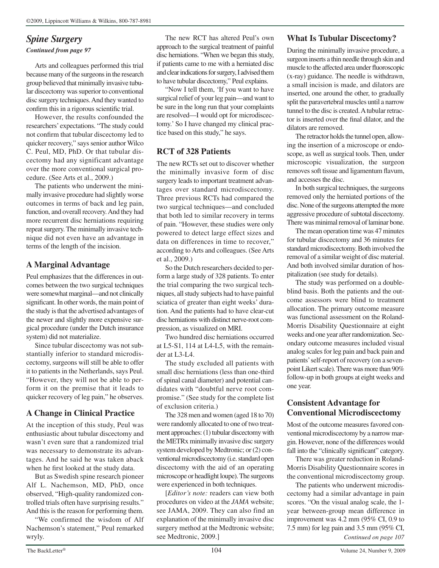#### *Spine Surgery Continued from page 97*

Arts and colleagues performed this trial because many of the surgeons in the research group believed that minimally invasive tubular discectomy was superior to conventional disc surgery techniques. And they wanted to confirm this in a rigorous scientific trial.

However, the results confounded the researchers'expectations. "The study could not confirm that tubular discectomy led to quicker recovery," says senior author Wilco C. Peul, MD, PhD. Or that tubular discectomy had any significant advantage over the more conventional surgical procedure. (See Arts et al., 2009.)

The patients who underwent the minimally invasive procedure had slightly worse outcomes in terms of back and leg pain, function, and overall recovery. And they had more recurrent disc herniations requiring repeat surgery. The minimally invasive technique did not even have an advantage in terms of the length of the incision.

#### **A Marginal Advantage**

Peul emphasizes that the differences in outcomes between the two surgical techniques were somewhat marginal—and not clinically significant. In other words, the main point of the study is that the advertised advantages of the newer and slightly more expensive surgical procedure (under the Dutch insurance system) did not materialize.

Since tubular discectomy was not substantially inferior to standard microdiscectomy, surgeons will still be able to offer it to patients in the Netherlands, says Peul. "However, they will not be able to perform it on the premise that it leads to quicker recovery of leg pain," he observes.

#### **A Change in Clinical Practice**

At the inception of this study, Peul was enthusiastic about tubular discectomy and wasn't even sure that a randomized trial was necessary to demonstrate its advantages. And he said he was taken aback when he first looked at the study data.

But as Swedish spine research pioneer Alf L. Nachemson, MD, PhD, once observed, "High-quality randomized controlled trials often have surprising results." And this is the reason for performing them.

"We confirmed the wisdom of Alf Nachemson's statement," Peul remarked wryly.

The new RCT has altered Peul's own approach to the surgical treatment of painful disc herniations. "When we began this study, if patients came to me with a herniated disc and clear indications for surgery, I advised them to have tubular discectomy," Peul explains.

"Now I tell them, 'If you want to have surgical relief of your leg pain—and want to be sure in the long run that your complaints are resolved—I would opt for microdiscectomy.' So I have changed my clinical practice based on this study," he says.

#### **RCT of 328 Patients**

The new RCTs set out to discover whether the minimally invasive form of disc surgery leads to important treatment advantages over standard microdiscectomy. Three previous RCTs had compared the two surgical techniques—and concluded that both led to similar recovery in terms of pain. "However, these studies were only powered to detect large effect sizes and data on differences in time to recover," according to Arts and colleagues. (See Arts et al., 2009.)

So the Dutch researchers decided to perform a large study of 328 patients. To enter the trial comparing the two surgical techniques, all study subjects had to have painful sciatica of greater than eight weeks' duration. And the patients had to have clear-cut disc herniations with distinct nerve-root compression, as visualized on MRI.

Two hundred disc herniations occurred at L5-S1, 114 at L4-L5, with the remainder at L3-L4.

The study excluded all patients with small disc herniations (less than one-third of spinal canal diameter) and potential candidates with "doubtful nerve root compromise." (See study for the complete list of exclusion criteria.)

The 328 men and women (aged 18 to 70) were randomly allocated to one of two treatment approaches: (1) tubular discectomy with the METRx minimally invasive disc surgery system developed by Medtronic; or (2) conventional microdiscectomy (i.e. standard open discectomy with the aid of an operating microscope or headlight loupe). The surgeons were experienced in both techniques.

[*Editor's note:* readers can view both procedures on video at the *JAMA* website; see JAMA, 2009. They can also find an explanation of the minimally invasive disc surgery method at the Medtronic website; see Medtronic, 2009.]

#### **What Is Tubular Discectomy?**

During the minimally invasive procedure, a surgeon inserts a thin needle through skin and muscle to the affected area under fluoroscopic (x-ray) guidance. The needle is withdrawn, a small incision is made, and dilators are inserted, one around the other, to gradually split the paravertebral muscles until a narrow tunnel to the disc is created. Atubular retractor is inserted over the final dilator, and the dilators are removed.

The retractor holds the tunnel open, allowing the insertion of a microscope or endoscope, as well as surgical tools. Then, under microscopic visualization, the surgeon removes soft tissue and ligamentum flavum, and accesses the disc.

In both surgical techniques, the surgeons removed only the herniated portions of the disc. None of the surgeons attempted the more aggressive procedure of subtotal discectomy. There was minimal removal of laminar bone.

The mean operation time was 47 minutes for tubular discectomy and 36 minutes for standard microdiscectomy. Both involved the removal of a similar weight of disc material. And both involved similar duration of hospitalization (see study for details).

The study was performed on a doubleblind basis. Both the patients and the outcome assessors were blind to treatment allocation. The primary outcome measure was functional assessment on the Roland-Morris Disability Questionnaire at eight weeks and one year after randomization. Secondary outcome measures included visual analog scales for leg pain and back pain and patients'self-report of recovery (on a sevenpoint Likert scale). There was more than 90% follow-up in both groups at eight weeks and one year.

#### **Consistent Advantage for Conventional Microdiscectomy**

Most of the outcome measures favored conventional microdiscectomy by a narrow margin. However, none of the differences would fall into the "clinically significant" category.

There was greater reduction in Roland-Morris Disability Questionnaire scores in the conventional microdiscectomy group.

The patients who underwent microdiscectomy had a similar advantage in pain scores. "On the visual analog scale, the 1 year between-group mean difference in improvement was 4.2 mm (95% CI, 0.9 to 7.5 mm) for leg pain and 3.5 mm (95% CI, *Continued on page 107*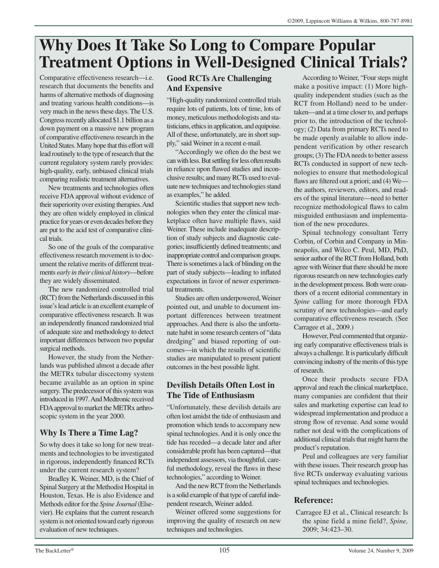### **Why Does It Take So Long to Compare Popular Treatment Options in Well-Designed Clinical Trials?**

Comparative effectiveness research—i.e. research that documents the benefits and harms of alternative methods of diagnosing and treating various health conditions—is very much in the news these days. The U.S. Congress recently allocated \$1.1 billion as a down payment on a massive new program of comparative effectiveness research in the United States. Many hope that this effort will lead routinely to the type of research that the current regulatory system rarely provides: high-quality, early, unbiased clinical trials comparing realistic treatment alternatives.

New treatments and technologies often receive FDA approval without evidence of their superiority over existing therapies. And they are often widely employed in clinical practice for years or even decades before they are put to the acid test of comparative clinical trials.

So one of the goals of the comparative effectiveness research movement is to document the relative merits of different treatments *early in their clinical history*—before they are widely disseminated.

The new randomized controlled trial (RCT) from the Netherlands discussed in this issue's lead article is an excellent example of comparative effectiveness research. It was an independently financed randomized trial of adequate size and methodology to detect important differences between two popular surgical methods.

However, the study from the Netherlands was published almost a decade after the METRx tubular discectomy system became available as an option in spine surgery. The predecessor of this system was introduced in 1997. And Medtronic received FDAapproval to market the METRx arthroscopic system in the year 2000.

#### **Why Is There a Time Lag?**

So why does it take so long for new treatments and technologies to be investigated in rigorous, independently financed RCTs under the current research system?

Bradley K. Weiner, MD, is the Chief of Spinal Surgery at the Methodist Hospital in Houston, Texas. He is also Evidence and Methods editor for the *Spine Journal*(Elsevier). He explains that the current research system is not oriented toward early rigorous evaluation of new techniques.

#### **Good RCTs Are Challenging And Expensive**

"High-quality randomized controlled trials require lots of patients, lots of time, lots of money, meticulous methodologists and statisticians, ethics in application, and equipoise. All of these, unfortunately, are in short supply," said Weiner in a recent e-mail.

"Accordingly we often do the best we can with less. But settling for less often results in reliance upon flawed studies and inconclusive results; and many RCTs used to evaluate new techniques and technologies stand as examples," he added.

Scientific studies that support new technologies when they enter the clinical marketplace often have multiple flaws, said Weiner. These include inadequate description of study subjects and diagnostic categories; insufficiently defined treatments; and inappropriate control and comparison groups. There is sometimes a lack of blinding on the part of study subjects—leading to inflated expectations in favor of newer experimental treatments.

Studies are often underpowered, Weiner pointed out, and unable to document important differences between treatment approaches. And there is also the unfortunate habit in some research centers of "data dredging" and biased reporting of outcomes—in which the results of scientific studies are manipulated to present patient outcomes in the best possible light.

#### **Devilish Details Often Lost in The Tide of Enthusiasm**

"Unfortunately, these devilish details are often lost amidst the tide of enthusiasm and promotion which tends to accompany new spinal technologies. And it is only once the tide has receded—a decade later and after considerable profit has been captured—that independent assessors, via thoughtful, careful methodology, reveal the flaws in these technologies," according to Weiner.

And the new RCT from the Netherlands is a solid example of that type of careful independent research, Weiner added.

Weiner offered some suggestions for improving the quality of research on new techniques and technologies.

According to Weiner, "Four steps might make a positive impact: (1) More highquality independent studies (such as the RCT from Holland) need to be undertaken—and at a time closer to, and perhaps prior to, the introduction of the technology; (2) Data from primary RCTs need to be made openly available to allow independent verification by other research groups; (3) The FDAneeds to better assess RCTs conducted in support of new technologies to ensure that methodological flaws are filtered out a priori; and (4) We the authors, reviewers, editors, and readers of the spinal literature—need to better recognize methodological flaws to calm misguided enthusiasm and implementation of the new procedures.

Spinal technology consultant Terry Corbin, of Corbin and Company in Minneapolis, and Wilco C. Peul, MD, PhD, senior author of the RCT from Holland, both agree with Weiner that there should be more rigorous research on new technologies early in the development process. Both were coauthors of a recent editorial commentary in *Spine* calling for more thorough FDA scrutiny of new technologies—and early comparative effectiveness research. (See Carragee et al., 2009.)

However, Peul commented that organizing early comparative effectiveness trials is always a challenge. It is particularly difficult convincing industry of the merits of this type of research.

Once their products secure FDA approval and reach the clinical marketplace, many companies are confident that their sales and marketing expertise can lead to widespread implementation and produce a strong flow of revenue. And some would rather not deal with the complications of additional clinical trials that might harm the product's reputation.

Peul and colleagues are very familiar with these issues. Their research group has five RCTs underway evaluating various spinal techniques and technologies.

#### **Reference:**

Carragee EJ et al., Clinical research: Is the spine field a mine field?, *Spine,* 2009; 34:423–30.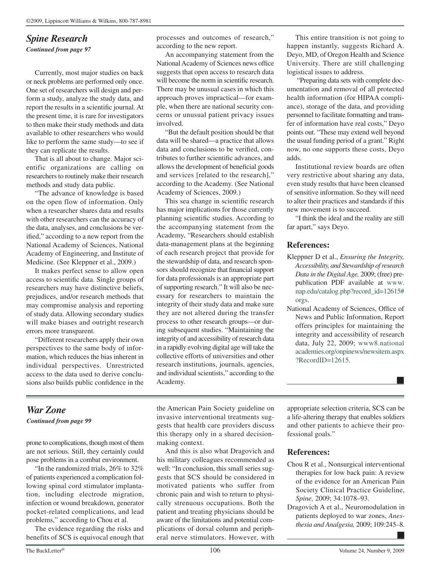#### *Spine Research Continued from page 97*

Currently, most major studies on back or neck problems are performed only once. One set of researchers will design and perform a study, analyze the study data, and report the results in a scientific journal. At the present time, it is rare for investigators to then make their study methods and data available to other researchers who would like to perform the same study—to see if they can replicate the results.

That is all about to change. Major scientific organizations are calling on researchers to routinely make their research methods and study data public.

"The advance of knowledge is based on the open flow of information. Only when a researcher shares data and results with other researchers can the accuracy of the data, analyses, and conclusions be verified," according to a new report from the National Academy of Sciences, National Academy of Engineering, and Institute of Medicine. (See Kleppner et al., 2009.)

It makes perfect sense to allow open access to scientific data. Single groups of researchers may have distinctive beliefs, prejudices, and/or research methods that may compromise analysis and reporting of study data. Allowing secondary studies will make biases and outright research errors more transparent.

"Different researchers apply their own perspectives to the same body of information, which reduces the bias inherent in individual perspectives. Unrestricted access to the data used to derive conclusions also builds public confidence in the

*War Zone Continued from page 99*

prone to complications, though most of them are not serious. Still, they certainly could pose problems in a combat environment.

"In the randomized trials, 26% to 32% of patients experienced a complication following spinal cord stimulator implantation, including electrode migration, infection or wound breakdown, generator pocket-related complications, and lead problems," according to Chou et al.

The evidence regarding the risks and benefits of SCS is equivocal enough that processes and outcomes of research," according to the new report.

An accompanying statement from the National Academy of Sciences news office suggests that open access to research data will become the norm in scientific research. There may be unusual cases in which this approach proves impractical—for example, when there are national security concerns or unusual patient privacy issues involved.

"But the default position should be that data will be shared—a practice that allows data and conclusions to be verified, contributes to further scientific advances, and allows the development of beneficial goods and services [related to the research]," according to the Academy. (See National Academy of Sciences, 2009.)

This sea change in scientific research has major implications for those currently planning scientific studies. According to the accompanying statement from the Academy, "Researchers should establish data-management plans at the beginning of each research project that provide for the stewardship of data, and research sponsors should recognize that financial support for data professionals is an appropriate part of supporting research." It will also be necessary for researchers to maintain the integrity of their study data and make sure they are not altered during the transfer process to other research groups—or during subsequent studies. "Maintaining the integrity of and accessibility of research data in a rapidly evolving digital age will take the collective efforts of universities and other research institutions, journals, agencies, and individual scientists," according to the Academy.

This entire transition is not going to happen instantly, suggests Richard A. Deyo, MD, of Oregon Health and Science University. There are still challenging logistical issues to address.

"Preparing data sets with complete documentation and removal of all protected health information (for HIPAA compliance), storage of the data, and providing personnel to facilitate formatting and transfer of information have real costs," Deyo points out. "These may extend well beyond the usual funding period of a grant." Right now, no one supports these costs, Deyo adds.

Institutional review boards are often very restrictive about sharing any data, even study results that have been cleansed of sensitive information. So they will need to alter their practices and standards if this new movement is to succeed.

"I think the ideal and the reality are still far apart," says Deyo.

#### **References:**

- Kleppner D et al., *Ensuring the Integrity, Accessibility, and Stewardship of research Data in the Digital Age,* 2009; (free) prepublication PDF available at www. nap.edu/catalog.php?record\_id=12615# orgs.
- National Academy of Sciences, Office of News and Public Information, Report offers principles for maintaining the integrity and accessibility of research data, July 22, 2009; www8.national academies.org/onpinews/newsitem.aspx ?RecordID=12615.



the American Pain Society guideline on invasive interventional treatments suggests that health care providers discuss this therapy only in a shared decisionmaking context.

And this is also what Dragovich and his military colleagues recommended as well: "In conclusion, this small series suggests that SCS should be considered in motivated patients who suffer from chronic pain and wish to return to physically strenuous occupations. Both the patient and treating physicians should be aware of the limitations and potential complications of dorsal column and peripheral nerve stimulators. However, with

appropriate selection criteria, SCS can be a life-altering therapy that enables soldiers and other patients to achieve their professional goals."

#### **References:**

- Chou R et al., Nonsurgical interventional therapies for low back pain: A review of the evidence for an American Pain Society Clinical Practice Guideline, *Spine,* 2009; 34:1078–93.
- Dragovich A et al., Neuromodulation in patients deployed to war zones, *Anesthesia and Analgesia,* 2009; 109:245–8.

 $\mathbb{Z}$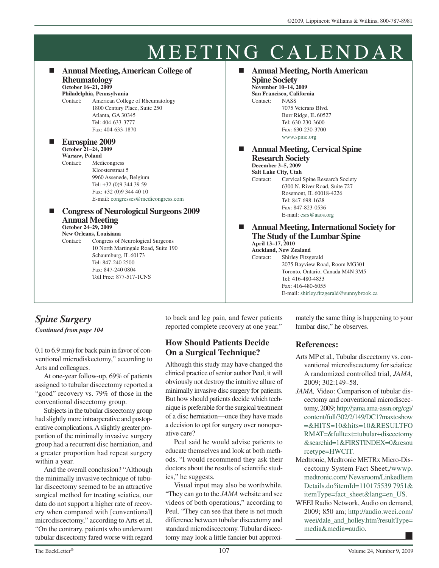|                                                                                                                                                                                                                                                                                                                                                                                                                                                                                                                                                                                                                                                                                                                                                                                                                                               | MEETING CALENDAR                                                                                                                                                                                                                                                                                                                                                                                                                                                                                                                                                                                                                                                                                                                                                                                                                                                                                           |
|-----------------------------------------------------------------------------------------------------------------------------------------------------------------------------------------------------------------------------------------------------------------------------------------------------------------------------------------------------------------------------------------------------------------------------------------------------------------------------------------------------------------------------------------------------------------------------------------------------------------------------------------------------------------------------------------------------------------------------------------------------------------------------------------------------------------------------------------------|------------------------------------------------------------------------------------------------------------------------------------------------------------------------------------------------------------------------------------------------------------------------------------------------------------------------------------------------------------------------------------------------------------------------------------------------------------------------------------------------------------------------------------------------------------------------------------------------------------------------------------------------------------------------------------------------------------------------------------------------------------------------------------------------------------------------------------------------------------------------------------------------------------|
| <b>Annual Meeting, American College of</b><br><b>Rheumatology</b><br>October 16-21, 2009<br>Philadelphia, Pennsylvania<br>American College of Rheumatology<br>Contact:<br>1800 Century Place, Suite 250<br>Atlanta, GA 30345<br>Tel: 404-633-3777<br>Fax: 404-633-1870<br><b>Eurospine 2009</b><br>October 21-24, 2009<br><b>Warsaw, Poland</b><br>Medicongress<br>Contact:<br>Kloosterstraat 5<br>9960 Assenede, Belgium<br>Tel: +32 (0)9 344 39 59<br>Fax: +32 (0)9 344 40 10<br>E-mail: congresses@medicongress.com<br><b>Congress of Neurological Surgeons 2009</b><br><b>Annual Meeting</b><br>October 24-29, 2009<br><b>New Orleans, Louisiana</b><br>Congress of Neurological Surgeons<br>Contact:<br>10 North Martingale Road, Suite 190<br>Schaumburg, IL 60173<br>Tel: 847-240 2500<br>Fax: 847-240 0804<br>Toll Free: 877-517-1CNS | <b>Annual Meeting, North American</b><br><b>Spine Society</b><br>November 10-14, 2009<br>San Francisco, California<br>Contact:<br><b>NASS</b><br>7075 Veterans Blvd.<br>Burr Ridge, IL 60527<br>Tel: 630-230-3600<br>Fax: 630-230-3700<br>www.spine.org<br><b>Annual Meeting, Cervical Spine</b><br><b>Research Society</b><br>December 3-5, 2009<br><b>Salt Lake City, Utah</b><br>Cervical Spine Research Society<br>Contact:<br>6300 N. River Road, Suite 727<br>Rosemont, IL 60018-4226<br>Tel: 847-698-1628<br>Fax: 847-823-0536<br>E-mail: csrs@aaos.org<br><b>Annual Meeting, International Society for</b><br>ш<br>The Study of the Lumbar Spine<br>April 13-17, 2010<br><b>Auckland, New Zealand</b><br>Shirley Fitzgerald<br>Contact:<br>2075 Bayview Road, Room MG301<br>Toronto, Ontario, Canada M4N 3M5<br>Tel: 416-480-4833<br>Fax: 416-480-6055<br>E-mail: shirley.fitzgerald@sunnybrook.ca |

### *Spine Surgery*

*Continued from page 104*

0.1 to 6.9 mm) for back pain in favor of conventional microdiskectomy," according to Arts and colleagues.

At one-year follow-up, 69% of patients assigned to tubular discectomy reported a "good" recovery vs. 79% of those in the conventional discectomy group.

Subjects in the tubular discectomy group had slightly more intraoperative and postoperative complications. Aslightly greater proportion of the minimally invasive surgery group had a recurrent disc herniation, and a greater proportion had repeat surgery within a year.

And the overall conclusion? "Although the minimally invasive technique of tubular discectomy seemed to be an attractive surgical method for treating sciatica, our data do not support a higher rate of recovery when compared with [conventional] microdiscectomy," according to Arts et al. "On the contrary, patients who underwent tubular discectomy fared worse with regard to back and leg pain, and fewer patients reported complete recovery at one year."

#### **How Should Patients Decide On a Surgical Technique?**

Although this study may have changed the clinical practice of senior author Peul, it will obviously not destroy the intuitive allure of minimally invasive disc surgery for patients. But how should patients decide which technique is preferable for the surgical treatment of a disc herniation—once they have made a decision to opt for surgery over nonoperative care?

Peul said he would advise patients to educate themselves and look at both methods. "I would recommend they ask their doctors about the results of scientific studies," he suggests.

Visual input may also be worthwhile. "They can go to the *JAMA* website and see videos of both operations," according to Peul. "They can see that there is not much difference between tubular discectomy and standard microdiscectomy. Tubular discectomy may look a little fancier but approximately the same thing is happening to your lumbar disc," he observes.

#### **References:**

- Arts MP et al., Tubular discectomy vs. conventional microdiscectomy for sciatica: A randomized controlled trial, *JAMA,* 2009; 302:149–58.
- *JAMA,* Video: Comparison of tubular discectomy and conventional microdiscectomy, 2009; http://jama.ama-assn.org/cgi/ content/full/302/2/149/DC1?maxtoshow =&HITS=10&hits=10&RESULTFO RMAT=&fulltext=tubular+discectomy &searchid=1&FIRSTINDEX=0&resou rcetype=HWCIT.
- Medtronic, Medtronic METRx Micro-Discectomy System Fact Sheet;/wwwp. medtronic.com/ Newsroom/LinkedItem Details.do?itemId=110175539 7951& itemType=fact\_sheet&lang=en\_US.
- WEEI Radio Network, Audio on demand, 2009; 850 am; http://audio.weei.com/ weei/dale\_and\_holley.htm?resultType= media&media=audio. -